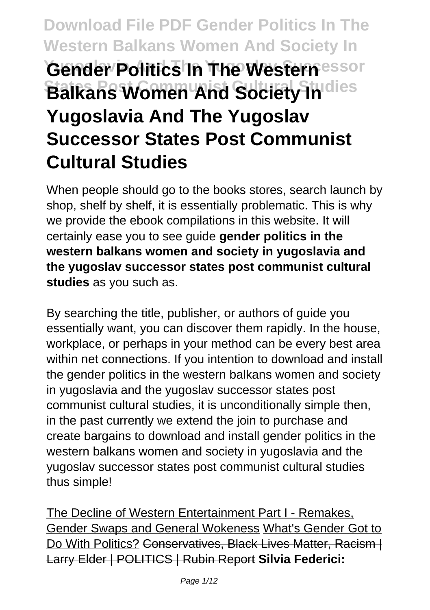# **Download File PDF Gender Politics In The Western Balkans Women And Society In Yugoslavic Politics In The Western**essor **Balkans Women And Society Indies Yugoslavia And The Yugoslav Successor States Post Communist Cultural Studies**

When people should go to the books stores, search launch by shop, shelf by shelf, it is essentially problematic. This is why we provide the ebook compilations in this website. It will certainly ease you to see guide **gender politics in the western balkans women and society in yugoslavia and the yugoslav successor states post communist cultural studies** as you such as.

By searching the title, publisher, or authors of guide you essentially want, you can discover them rapidly. In the house, workplace, or perhaps in your method can be every best area within net connections. If you intention to download and install the gender politics in the western balkans women and society in yugoslavia and the yugoslav successor states post communist cultural studies, it is unconditionally simple then, in the past currently we extend the join to purchase and create bargains to download and install gender politics in the western balkans women and society in yugoslavia and the yugoslav successor states post communist cultural studies thus simple!

The Decline of Western Entertainment Part I - Remakes, Gender Swaps and General Wokeness What's Gender Got to Do With Politics? Conservatives, Black Lives Matter, Racism | Larry Elder | POLITICS | Rubin Report **Silvia Federici:**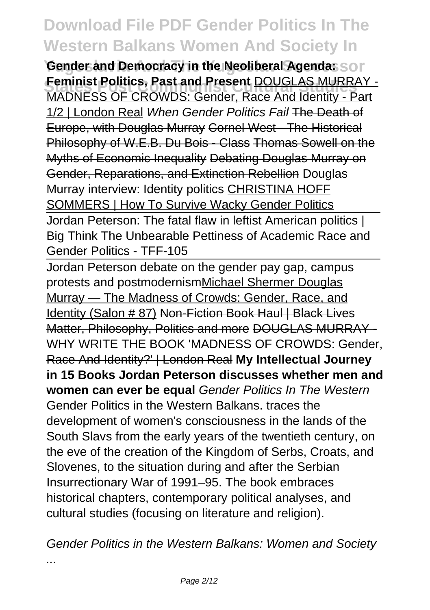**Gender and Democracy in the Neoliberal Agenda:** Son **Feminist Politics, Past and Present DOUGLAS MURRAY -**<br>MADNESS OF CROWDS: Cander, Base And Identity, Pert MADNESS OF CROWDS: Gender, Race And Identity - Part 1/2 | London Real When Gender Politics Fail The Death of Europe, with Douglas Murray Cornel West - The Historical Philosophy of W.E.B. Du Bois - Class Thomas Sowell on the Myths of Economic Inequality Debating Douglas Murray on Gender, Reparations, and Extinction Rebellion Douglas Murray interview: Identity politics CHRISTINA HOFF SOMMERS | How To Survive Wacky Gender Politics Jordan Peterson: The fatal flaw in leftist American politics | Big Think The Unbearable Pettiness of Academic Race and Gender Politics - TFF-105

Jordan Peterson debate on the gender pay gap, campus protests and postmodernismMichael Shermer Douglas Murray — The Madness of Crowds: Gender, Race, and Identity (Salon # 87) Non-Fiction Book Haul | Black Lives Matter, Philosophy, Politics and more DOUGLAS MURRAY - WHY WRITE THE BOOK 'MADNESS OF CROWDS: Gender. Race And Identity?' | London Real **My Intellectual Journey in 15 Books Jordan Peterson discusses whether men and women can ever be equal** Gender Politics In The Western Gender Politics in the Western Balkans. traces the development of women's consciousness in the lands of the South Slavs from the early years of the twentieth century, on the eve of the creation of the Kingdom of Serbs, Croats, and Slovenes, to the situation during and after the Serbian Insurrectionary War of 1991–95. The book embraces historical chapters, contemporary political analyses, and cultural studies (focusing on literature and religion).

Gender Politics in the Western Balkans: Women and Society

...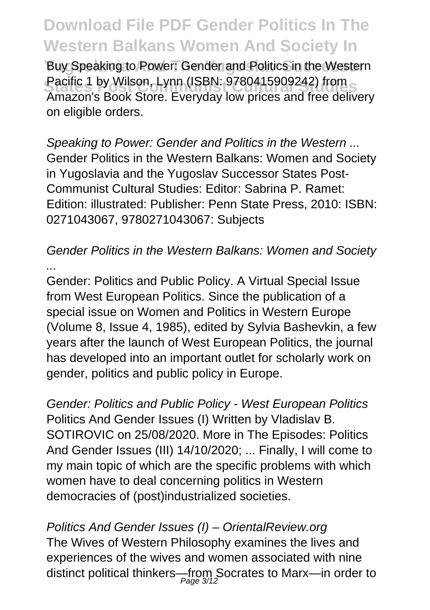Buy Speaking to Power: Gender and Politics in the Western Pacific 1 by Wilson, Lynn (ISBN: 9780415909242) from Amazon's Book Store. Everyday low prices and free delivery on eligible orders.

Speaking to Power: Gender and Politics in the Western ... Gender Politics in the Western Balkans: Women and Society in Yugoslavia and the Yugoslav Successor States Post-Communist Cultural Studies: Editor: Sabrina P. Ramet: Edition: illustrated: Publisher: Penn State Press, 2010: ISBN: 0271043067, 9780271043067: Subjects

#### Gender Politics in the Western Balkans: Women and Society ...

Gender: Politics and Public Policy. A Virtual Special Issue from West European Politics. Since the publication of a special issue on Women and Politics in Western Europe (Volume 8, Issue 4, 1985), edited by Sylvia Bashevkin, a few years after the launch of West European Politics, the journal has developed into an important outlet for scholarly work on gender, politics and public policy in Europe.

Gender: Politics and Public Policy - West European Politics Politics And Gender Issues (I) Written by Vladislav B. SOTIROVIC on 25/08/2020. More in The Episodes: Politics And Gender Issues (III) 14/10/2020; ... Finally, I will come to my main topic of which are the specific problems with which women have to deal concerning politics in Western democracies of (post)industrialized societies.

Politics And Gender Issues (I) – OrientalReview.org The Wives of Western Philosophy examines the lives and experiences of the wives and women associated with nine distinct political thinkers—from Socrates to Marx—in order to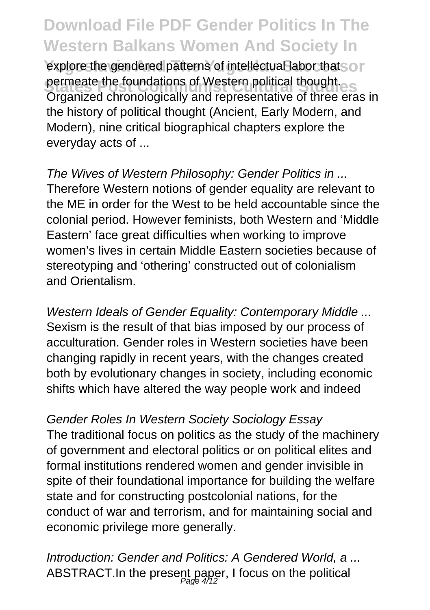explore the gendered patterns of intellectual labor that so r permeate the foundations of Western political thought. Organized chronologically and representative of three eras in the history of political thought (Ancient, Early Modern, and Modern), nine critical biographical chapters explore the everyday acts of ...

The Wives of Western Philosophy: Gender Politics in ... Therefore Western notions of gender equality are relevant to the ME in order for the West to be held accountable since the colonial period. However feminists, both Western and 'Middle Eastern' face great difficulties when working to improve women's lives in certain Middle Eastern societies because of stereotyping and 'othering' constructed out of colonialism and Orientalism.

Western Ideals of Gender Equality: Contemporary Middle ... Sexism is the result of that bias imposed by our process of acculturation. Gender roles in Western societies have been changing rapidly in recent years, with the changes created both by evolutionary changes in society, including economic shifts which have altered the way people work and indeed

Gender Roles In Western Society Sociology Essay The traditional focus on politics as the study of the machinery of government and electoral politics or on political elites and formal institutions rendered women and gender invisible in spite of their foundational importance for building the welfare state and for constructing postcolonial nations, for the conduct of war and terrorism, and for maintaining social and economic privilege more generally.

Introduction: Gender and Politics: A Gendered World, a ... ABSTRACT.In the present paper, I focus on the political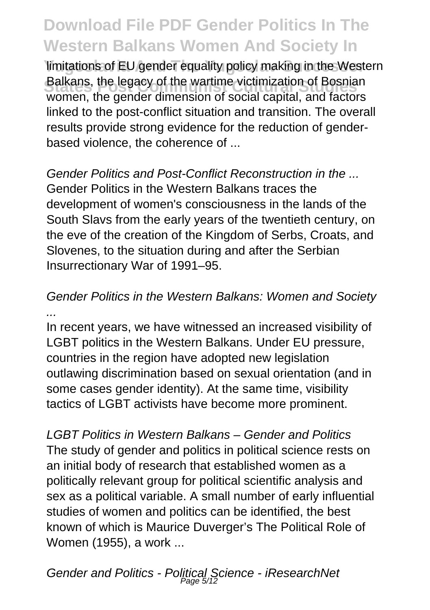limitations of EU gender equality policy making in the Western Balkans, the legacy of the wartime victimization of Bosnian<br>women, the gender dimension of social capital, and factors Balkans, the legacy of the wartime victimization of Bosnian linked to the post-conflict situation and transition. The overall results provide strong evidence for the reduction of genderbased violence, the coherence of ...

Gender Politics and Post-Conflict Reconstruction in the ... Gender Politics in the Western Balkans traces the development of women's consciousness in the lands of the South Slavs from the early years of the twentieth century, on the eve of the creation of the Kingdom of Serbs, Croats, and Slovenes, to the situation during and after the Serbian Insurrectionary War of 1991–95.

#### Gender Politics in the Western Balkans: Women and Society ...

In recent years, we have witnessed an increased visibility of LGBT politics in the Western Balkans. Under EU pressure, countries in the region have adopted new legislation outlawing discrimination based on sexual orientation (and in some cases gender identity). At the same time, visibility tactics of LGBT activists have become more prominent.

LGBT Politics in Western Balkans – Gender and Politics The study of gender and politics in political science rests on an initial body of research that established women as a politically relevant group for political scientific analysis and sex as a political variable. A small number of early influential studies of women and politics can be identified, the best known of which is Maurice Duverger's The Political Role of Women (1955), a work ...

Gender and Politics - Political Science - iResearchNet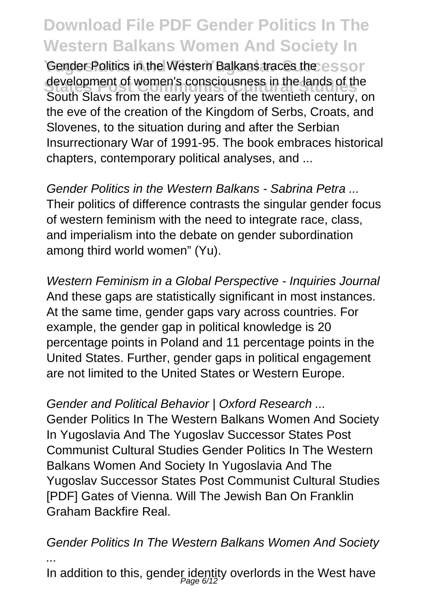Gender Politics in the Western Balkans traces the essor development of women's consciousness in the lands of the<br>Cauth Claus from the sort worse of the twentieth contunues South Slavs from the early years of the twentieth century, on the eve of the creation of the Kingdom of Serbs, Croats, and Slovenes, to the situation during and after the Serbian Insurrectionary War of 1991-95. The book embraces historical chapters, contemporary political analyses, and ...

Gender Politics in the Western Balkans - Sabrina Petra ... Their politics of difference contrasts the singular gender focus of western feminism with the need to integrate race, class, and imperialism into the debate on gender subordination among third world women" (Yu).

Western Feminism in a Global Perspective - Inquiries Journal And these gaps are statistically significant in most instances. At the same time, gender gaps vary across countries. For example, the gender gap in political knowledge is 20 percentage points in Poland and 11 percentage points in the United States. Further, gender gaps in political engagement are not limited to the United States or Western Europe.

Gender and Political Behavior | Oxford Research ...

Gender Politics In The Western Balkans Women And Society In Yugoslavia And The Yugoslav Successor States Post Communist Cultural Studies Gender Politics In The Western Balkans Women And Society In Yugoslavia And The Yugoslav Successor States Post Communist Cultural Studies [PDF] Gates of Vienna. Will The Jewish Ban On Franklin Graham Backfire Real.

Gender Politics In The Western Balkans Women And Society ...

In addition to this, gender identity overlords in the West have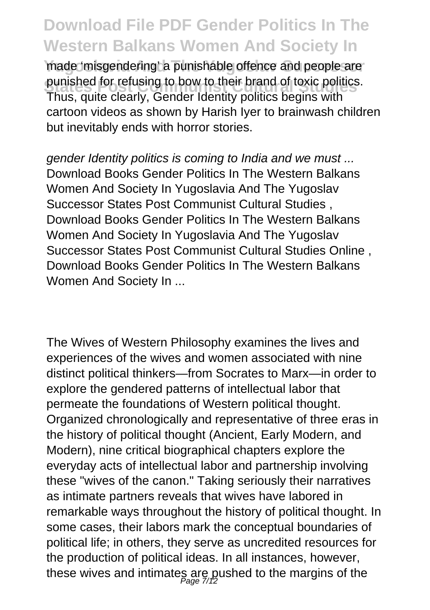made 'misgendering' a punishable offence and people are punisned for refusing to bow to their brand of toxic politics<br>Thus, quite clearly, Gender Identity politics begins with punished for refusing to bow to their brand of toxic politics. cartoon videos as shown by Harish Iyer to brainwash children but inevitably ends with horror stories.

gender Identity politics is coming to India and we must ... Download Books Gender Politics In The Western Balkans Women And Society In Yugoslavia And The Yugoslav Successor States Post Communist Cultural Studies , Download Books Gender Politics In The Western Balkans Women And Society In Yugoslavia And The Yugoslav Successor States Post Communist Cultural Studies Online , Download Books Gender Politics In The Western Balkans Women And Society In ...

The Wives of Western Philosophy examines the lives and experiences of the wives and women associated with nine distinct political thinkers—from Socrates to Marx—in order to explore the gendered patterns of intellectual labor that permeate the foundations of Western political thought. Organized chronologically and representative of three eras in the history of political thought (Ancient, Early Modern, and Modern), nine critical biographical chapters explore the everyday acts of intellectual labor and partnership involving these "wives of the canon." Taking seriously their narratives as intimate partners reveals that wives have labored in remarkable ways throughout the history of political thought. In some cases, their labors mark the conceptual boundaries of political life; in others, they serve as uncredited resources for the production of political ideas. In all instances, however, these wives and intimates are pushed to the margins of the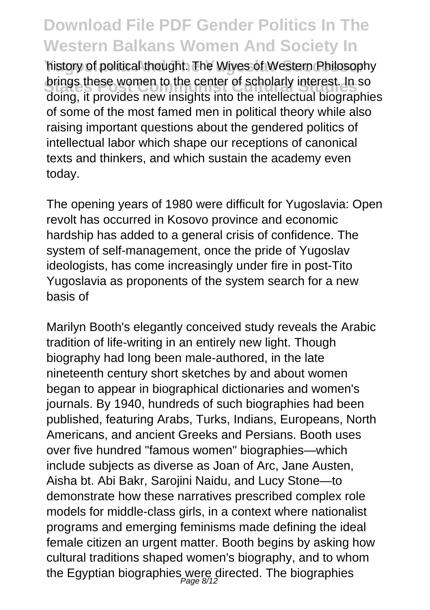history of political thought. The Wives of Western Philosophy brings these women to the center of scholarly interest. In so doing, it provides new insights into the intellectual biographies of some of the most famed men in political theory while also raising important questions about the gendered politics of intellectual labor which shape our receptions of canonical texts and thinkers, and which sustain the academy even today.

The opening years of 1980 were difficult for Yugoslavia: Open revolt has occurred in Kosovo province and economic hardship has added to a general crisis of confidence. The system of self-management, once the pride of Yugoslav ideologists, has come increasingly under fire in post-Tito Yugoslavia as proponents of the system search for a new basis of

Marilyn Booth's elegantly conceived study reveals the Arabic tradition of life-writing in an entirely new light. Though biography had long been male-authored, in the late nineteenth century short sketches by and about women began to appear in biographical dictionaries and women's journals. By 1940, hundreds of such biographies had been published, featuring Arabs, Turks, Indians, Europeans, North Americans, and ancient Greeks and Persians. Booth uses over five hundred "famous women" biographies—which include subjects as diverse as Joan of Arc, Jane Austen, Aisha bt. Abi Bakr, Sarojini Naidu, and Lucy Stone—to demonstrate how these narratives prescribed complex role models for middle-class girls, in a context where nationalist programs and emerging feminisms made defining the ideal female citizen an urgent matter. Booth begins by asking how cultural traditions shaped women's biography, and to whom the Egyptian biographies were directed. The biographies<br>#age 8/12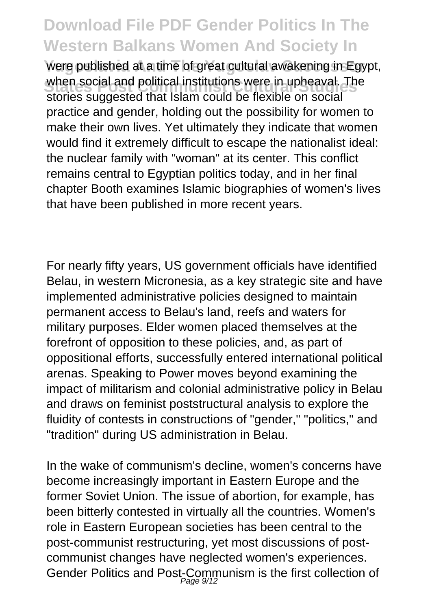**Yugoslavia And The Yugoslav Successor** were published at a time of great cultural awakening in Egypt, when social and political institutions were in upneaval. In<br>stories suggested that Islam could be flexible on social when social and political institutions were in upheaval. The practice and gender, holding out the possibility for women to make their own lives. Yet ultimately they indicate that women would find it extremely difficult to escape the nationalist ideal: the nuclear family with "woman" at its center. This conflict remains central to Egyptian politics today, and in her final chapter Booth examines Islamic biographies of women's lives that have been published in more recent years.

For nearly fifty years, US government officials have identified Belau, in western Micronesia, as a key strategic site and have implemented administrative policies designed to maintain permanent access to Belau's land, reefs and waters for military purposes. Elder women placed themselves at the forefront of opposition to these policies, and, as part of oppositional efforts, successfully entered international political arenas. Speaking to Power moves beyond examining the impact of militarism and colonial administrative policy in Belau and draws on feminist poststructural analysis to explore the fluidity of contests in constructions of "gender," "politics," and "tradition" during US administration in Belau.

In the wake of communism's decline, women's concerns have become increasingly important in Eastern Europe and the former Soviet Union. The issue of abortion, for example, has been bitterly contested in virtually all the countries. Women's role in Eastern European societies has been central to the post-communist restructuring, yet most discussions of postcommunist changes have neglected women's experiences. Gender Politics and Post-Communism is the first collection of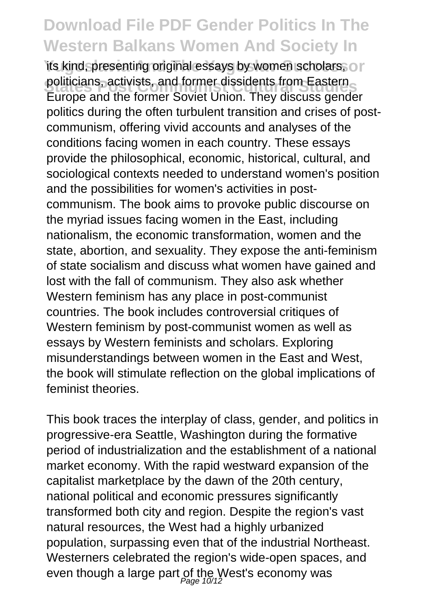its kind, presenting original essays by women scholars, or politicians, activists, and former dissidents from Eastern<br>Europe and the former Soviet Union. They discuss gender politicians, activists, and former dissidents from Eastern politics during the often turbulent transition and crises of postcommunism, offering vivid accounts and analyses of the conditions facing women in each country. These essays provide the philosophical, economic, historical, cultural, and sociological contexts needed to understand women's position and the possibilities for women's activities in postcommunism. The book aims to provoke public discourse on the myriad issues facing women in the East, including nationalism, the economic transformation, women and the state, abortion, and sexuality. They expose the anti-feminism of state socialism and discuss what women have gained and lost with the fall of communism. They also ask whether Western feminism has any place in post-communist countries. The book includes controversial critiques of Western feminism by post-communist women as well as essays by Western feminists and scholars. Exploring misunderstandings between women in the East and West, the book will stimulate reflection on the global implications of feminist theories.

This book traces the interplay of class, gender, and politics in progressive-era Seattle, Washington during the formative period of industrialization and the establishment of a national market economy. With the rapid westward expansion of the capitalist marketplace by the dawn of the 20th century, national political and economic pressures significantly transformed both city and region. Despite the region's vast natural resources, the West had a highly urbanized population, surpassing even that of the industrial Northeast. Westerners celebrated the region's wide-open spaces, and even though a large part of the West's economy was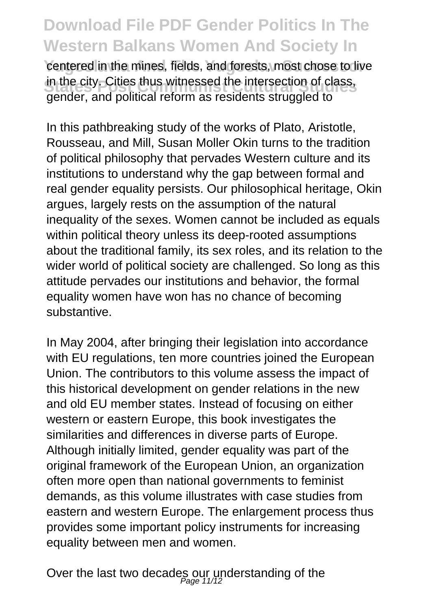centered in the mines, fields, and forests, most chose to live in the city. Cities thus witnessed the intersection of class, gender, and political reform as residents struggled to

In this pathbreaking study of the works of Plato, Aristotle, Rousseau, and Mill, Susan Moller Okin turns to the tradition of political philosophy that pervades Western culture and its institutions to understand why the gap between formal and real gender equality persists. Our philosophical heritage, Okin argues, largely rests on the assumption of the natural inequality of the sexes. Women cannot be included as equals within political theory unless its deep-rooted assumptions about the traditional family, its sex roles, and its relation to the wider world of political society are challenged. So long as this attitude pervades our institutions and behavior, the formal equality women have won has no chance of becoming substantive.

In May 2004, after bringing their legislation into accordance with EU regulations, ten more countries joined the European Union. The contributors to this volume assess the impact of this historical development on gender relations in the new and old EU member states. Instead of focusing on either western or eastern Europe, this book investigates the similarities and differences in diverse parts of Europe. Although initially limited, gender equality was part of the original framework of the European Union, an organization often more open than national governments to feminist demands, as this volume illustrates with case studies from eastern and western Europe. The enlargement process thus provides some important policy instruments for increasing equality between men and women.

Over the last two decades our understanding of the